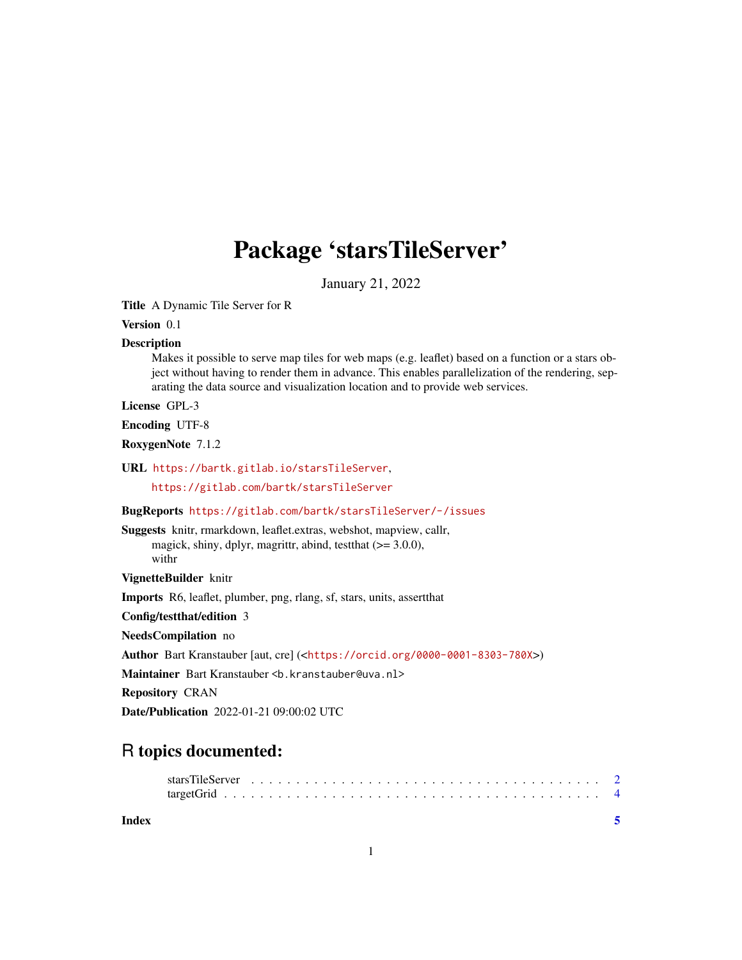## Package 'starsTileServer'

January 21, 2022

<span id="page-0-0"></span>Title A Dynamic Tile Server for R

Version 0.1

#### Description

Makes it possible to serve map tiles for web maps (e.g. leaflet) based on a function or a stars object without having to render them in advance. This enables parallelization of the rendering, separating the data source and visualization location and to provide web services.

License GPL-3

Encoding UTF-8

RoxygenNote 7.1.2

URL <https://bartk.gitlab.io/starsTileServer>,

<https://gitlab.com/bartk/starsTileServer>

#### BugReports <https://gitlab.com/bartk/starsTileServer/-/issues>

Suggests knitr, rmarkdown, leaflet.extras, webshot, mapview, callr, magick, shiny, dplyr, magrittr, abind, testthat (>= 3.0.0), withr

VignetteBuilder knitr

Imports R6, leaflet, plumber, png, rlang, sf, stars, units, assertthat

Config/testthat/edition 3

NeedsCompilation no

Author Bart Kranstauber [aut, cre] (<<https://orcid.org/0000-0001-8303-780X>>)

Maintainer Bart Kranstauber <b. kranstauber@uva.nl>

Repository CRAN

Date/Publication 2022-01-21 09:00:02 UTC

### R topics documented:

**Index** [5](#page-4-0). The second state of the second state of the second state of the second state of the second state of the second state of the second state of the second state of the second state of the second state of the second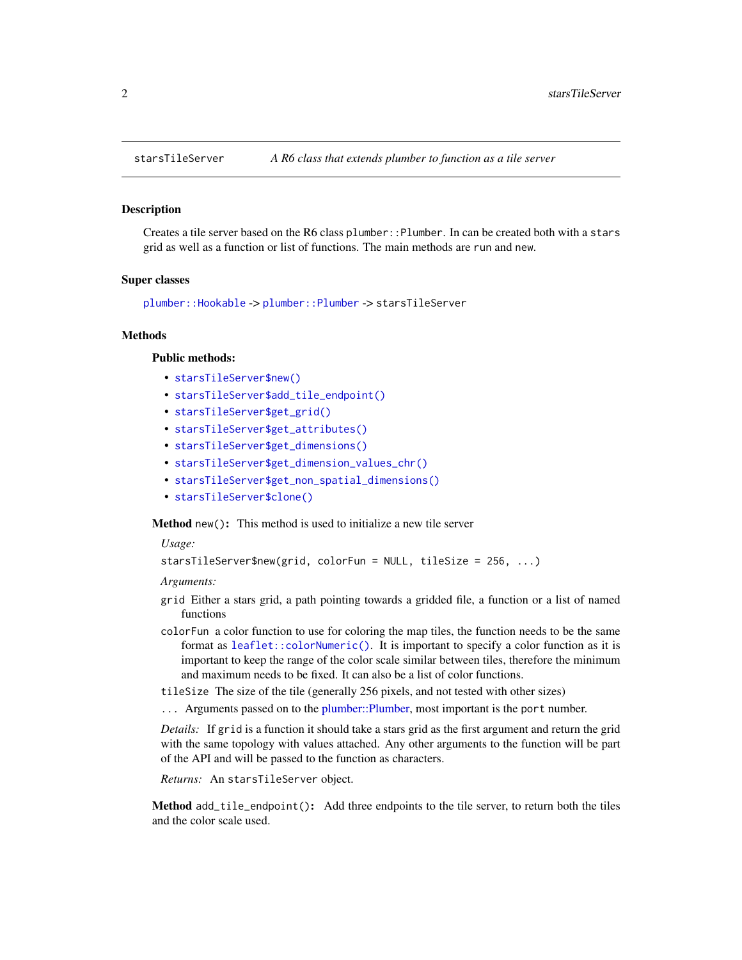<span id="page-1-0"></span>

#### Description

Creates a tile server based on the R6 class plumber::Plumber. In can be created both with a stars grid as well as a function or list of functions. The main methods are run and new.

#### Super classes

[plumber::Hookable](#page-0-0) -> [plumber::Plumber](#page-0-0) -> starsTileServer

#### Methods

#### Public methods:

- [starsTileServer\\$new\(\)](#page-1-1)
- [starsTileServer\\$add\\_tile\\_endpoint\(\)](#page-1-2)
- [starsTileServer\\$get\\_grid\(\)](#page-2-0)
- [starsTileServer\\$get\\_attributes\(\)](#page-2-1)
- [starsTileServer\\$get\\_dimensions\(\)](#page-2-2)
- [starsTileServer\\$get\\_dimension\\_values\\_chr\(\)](#page-2-3)
- [starsTileServer\\$get\\_non\\_spatial\\_dimensions\(\)](#page-2-4)
- [starsTileServer\\$clone\(\)](#page-2-5)

<span id="page-1-1"></span>Method new(): This method is used to initialize a new tile server

*Usage:*

```
starsTileServer$new(grid, colorFun = NULL, tileSize = 256, ...)
```
*Arguments:*

- grid Either a stars grid, a path pointing towards a gridded file, a function or a list of named functions
- colorFun a color function to use for coloring the map tiles, the function needs to be the same format as [leaflet::colorNumeric\(\)](#page-0-0). It is important to specify a color function as it is important to keep the range of the color scale similar between tiles, therefore the minimum and maximum needs to be fixed. It can also be a list of color functions.
- tileSize The size of the tile (generally 256 pixels, and not tested with other sizes)
- ... Arguments passed on to the [plumber::Plumber,](#page-0-0) most important is the port number.

*Details:* If grid is a function it should take a stars grid as the first argument and return the grid with the same topology with values attached. Any other arguments to the function will be part of the API and will be passed to the function as characters.

*Returns:* An starsTileServer object.

<span id="page-1-2"></span>Method add\_tile\_endpoint(): Add three endpoints to the tile server, to return both the tiles and the color scale used.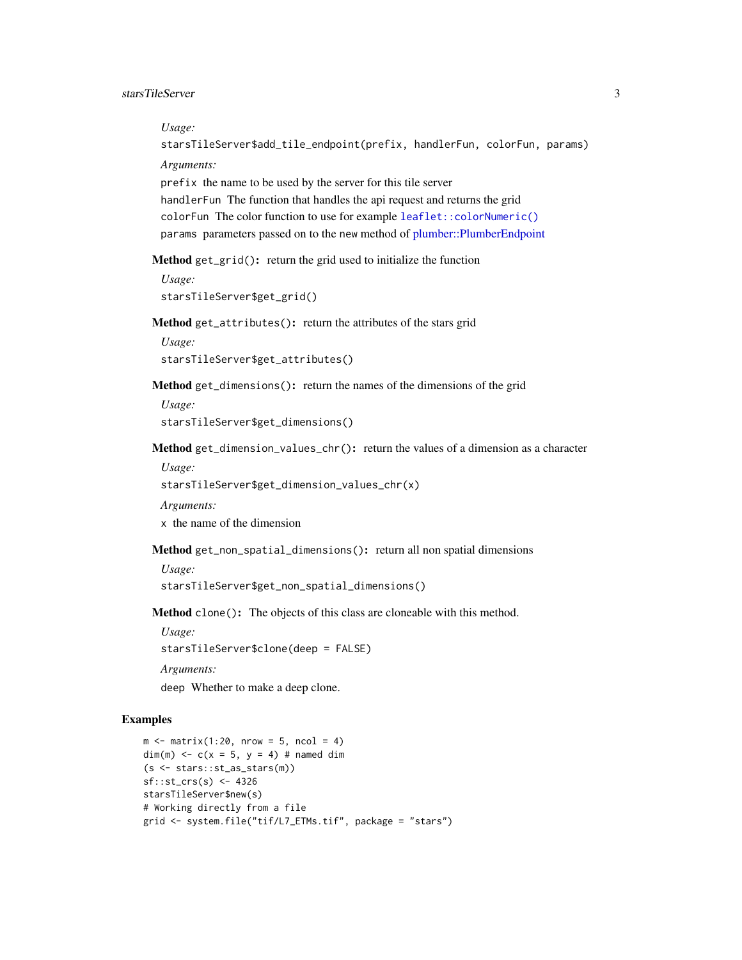<span id="page-2-6"></span>*Usage:*

starsTileServer\$add\_tile\_endpoint(prefix, handlerFun, colorFun, params)

*Arguments:*

prefix the name to be used by the server for this tile server handlerFun The function that handles the api request and returns the grid colorFun The color function to use for example [leaflet::colorNumeric\(\)](#page-0-0) params parameters passed on to the new method of [plumber::PlumberEndpoint](#page-0-0)

<span id="page-2-0"></span>Method get\_grid(): return the grid used to initialize the function

```
Usage:
starsTileServer$get_grid()
```
<span id="page-2-1"></span>Method get\_attributes(): return the attributes of the stars grid

*Usage:* starsTileServer\$get\_attributes()

<span id="page-2-2"></span>Method get\_dimensions(): return the names of the dimensions of the grid

*Usage:* starsTileServer\$get\_dimensions()

<span id="page-2-3"></span>Method get\_dimension\_values\_chr(): return the values of a dimension as a character

*Usage:*

starsTileServer\$get\_dimension\_values\_chr(x)

*Arguments:*

x the name of the dimension

<span id="page-2-4"></span>Method get\_non\_spatial\_dimensions(): return all non spatial dimensions

*Usage:*

starsTileServer\$get\_non\_spatial\_dimensions()

<span id="page-2-5"></span>Method clone(): The objects of this class are cloneable with this method.

*Usage:*

starsTileServer\$clone(deep = FALSE)

*Arguments:*

deep Whether to make a deep clone.

#### Examples

```
m \le - matrix(1:20, nrow = 5, ncol = 4)
dim(m) <-c(x = 5, y = 4) # named dim
(s \leftarrow stars::st_as\_stars(m))sf::st_crs(s) <- 4326
starsTileServer$new(s)
# Working directly from a file
grid <- system.file("tif/L7_ETMs.tif", package = "stars")
```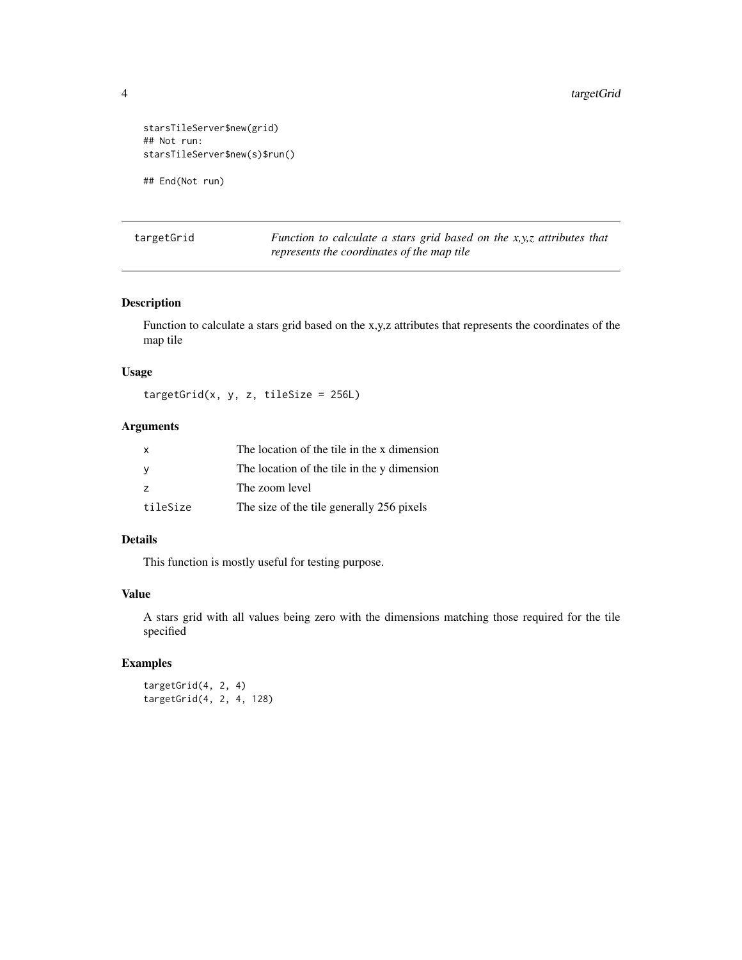```
starsTileServer$new(grid)
## Not run:
starsTileServer$new(s)$run()
```
## End(Not run)

targetGrid *Function to calculate a stars grid based on the x,y,z attributes that represents the coordinates of the map tile*

#### Description

Function to calculate a stars grid based on the x,y,z attributes that represents the coordinates of the map tile

#### Usage

 $targetGrid(x, y, z, tileSize = 256L)$ 

#### Arguments

| $\mathsf{x}$   | The location of the tile in the x dimension |
|----------------|---------------------------------------------|
| <b>V</b>       | The location of the tile in the y dimension |
| $\overline{z}$ | The zoom level                              |
| tileSize       | The size of the tile generally 256 pixels   |

#### Details

This function is mostly useful for testing purpose.

#### Value

A stars grid with all values being zero with the dimensions matching those required for the tile specified

#### Examples

targetGrid(4, 2, 4) targetGrid(4, 2, 4, 128)

<span id="page-3-0"></span>